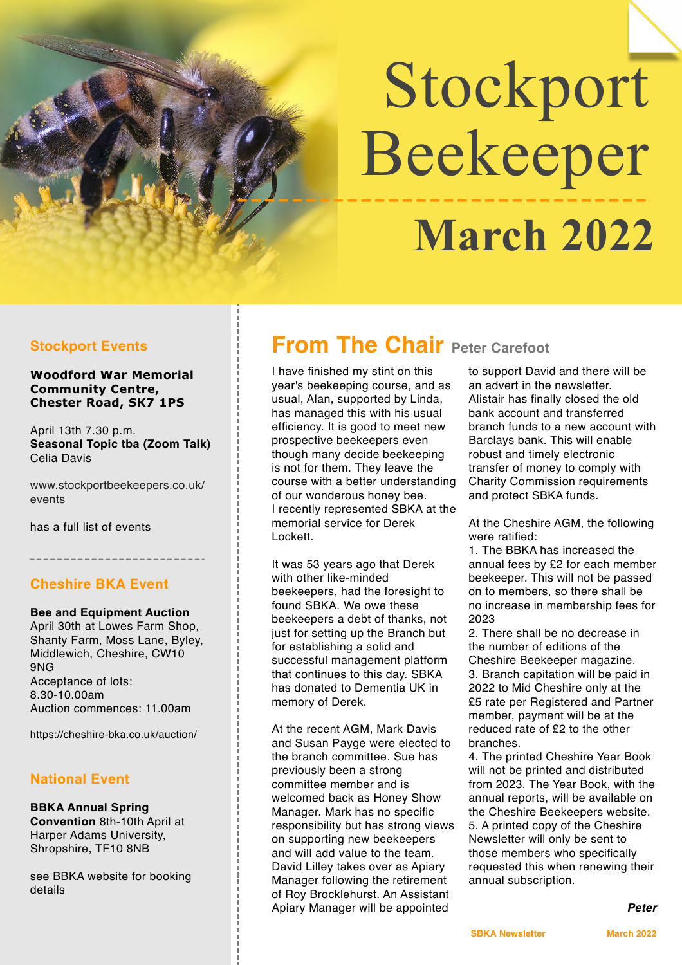# Stockport Beekeeper  **March 2022**

**Woodford War Memorial Community Centre, Chester Road, SK7 1PS**

April 13th 7.30 p.m. **Seasonal Topic tba (Zoom Talk)** Celia Davis

[www.stockportbeekeepers.co.uk/](http://www.stockportbeekeepers.co.uk/events) [events](http://www.stockportbeekeepers.co.uk/events)

has a full list of events

#### **Cheshire BKA Event**

**Bee and Equipment Auction** April 30th at Lowes Farm Shop, Shanty Farm, Moss Lane, Byley, Middlewich, Cheshire, CW10 9NG Acceptance of lots: 8.30-10.00am Auction commences: 11.00am

<https://cheshire-bka.co.uk/auction/>

#### **National Event**

**BBKA Annual Spring Convention** 8th-10th April at Harper Adams University, Shropshire, TF10 8NB

see BBKA website for booking details

# **Stockport Events From The Chair Peter Carefoot**

I have finished my stint on this year's beekeeping course, and as usual, Alan, supported by Linda, has managed this with his usual efficiency. It is good to meet new prospective beekeepers even though many decide beekeeping is not for them. They leave the course with a better understanding of our wonderous honey bee. I recently represented SBKA at the memorial service for Derek Lockett.

It was 53 years ago that Derek with other like-minded beekeepers, had the foresight to found SBKA. We owe these beekeepers a debt of thanks, not just for setting up the Branch but for establishing a solid and successful management platform that continues to this day. SBKA has donated to Dementia UK in memory of Derek.

At the recent AGM, Mark Davis and Susan Payge were elected to the branch committee. Sue has previously been a strong committee member and is welcomed back as Honey Show Manager. Mark has no specific responsibility but has strong views on supporting new beekeepers and will add value to the team. David Lilley takes over as Apiary Manager following the retirement of Roy Brocklehurst. An Assistant Apiary Manager will be appointed

to support David and there will be an advert in the newsletter. Alistair has finally closed the old bank account and transferred branch funds to a new account with Barclays bank. This will enable robust and timely electronic transfer of money to comply with Charity Commission requirements and protect SBKA funds.

At the Cheshire AGM, the following were ratified:

1. The BBKA has increased the annual fees by £2 for each member beekeeper. This will not be passed on to members, so there shall be no increase in membership fees for 2023

2. There shall be no decrease in the number of editions of the Cheshire Beekeeper magazine. 3. Branch capitation will be paid in 2022 to Mid Cheshire only at the £5 rate per Registered and Partner member, payment will be at the reduced rate of £2 to the other branches.

4. The printed Cheshire Year Book will not be printed and distributed from 2023. The Year Book, with the annual reports, will be available on the Cheshire Beekeepers website. 5. A printed copy of the Cheshire Newsletter will only be sent to those members who specifically requested this when renewing their annual subscription.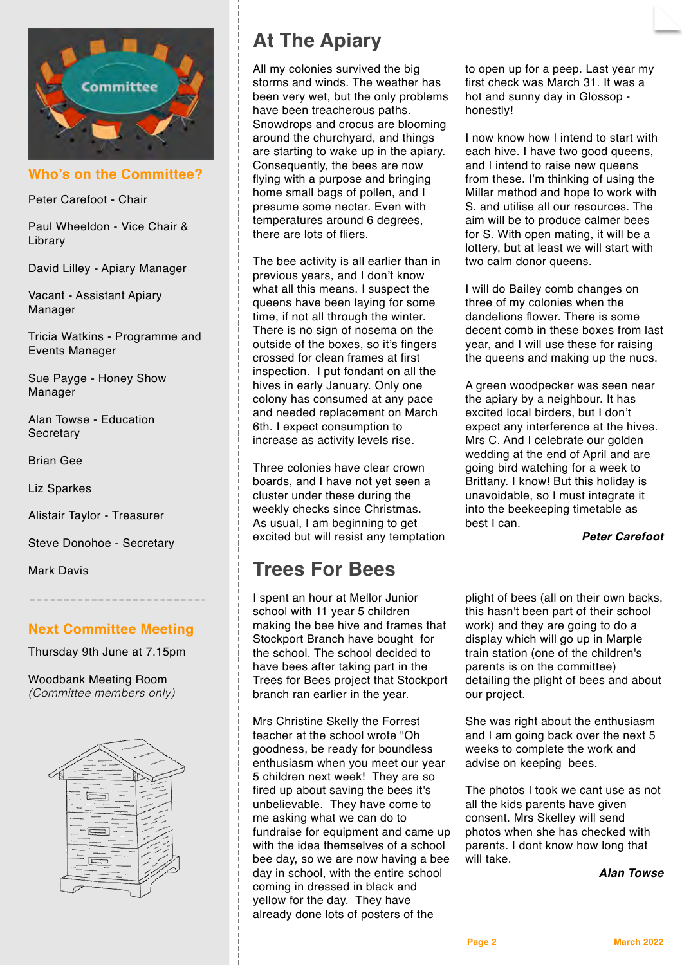

**Who's on the Committee?**

Peter Carefoot - Chair

Paul Wheeldon - Vice Chair & Library

David Lilley - Apiary Manager

Vacant - Assistant Apiary Manager

Tricia Watkins - Programme and Events Manager

Sue Payge - Honey Show Manager

Alan Towse - Education **Secretary** 

Brian Gee

Liz Sparkes

Alistair Taylor - Treasurer

Steve Donohoe - Secretary

Mark Davis

#### **Next Committee Meeting**

Thursday 9th June at 7.15pm

Woodbank Meeting Room *(Committee members only)*



# **At The Apiary**

All my colonies survived the big storms and winds. The weather has been very wet, but the only problems have been treacherous paths. Snowdrops and crocus are blooming around the churchyard, and things are starting to wake up in the apiary. Consequently, the bees are now flying with a purpose and bringing home small bags of pollen, and I presume some nectar. Even with temperatures around 6 degrees, there are lots of fliers.

The bee activity is all earlier than in previous years, and I don't know what all this means. I suspect the queens have been laying for some time, if not all through the winter. There is no sign of nosema on the outside of the boxes, so it's fingers crossed for clean frames at first inspection. I put fondant on all the hives in early January. Only one colony has consumed at any pace and needed replacement on March 6th. I expect consumption to increase as activity levels rise.

Three colonies have clear crown boards, and I have not yet seen a cluster under these during the weekly checks since Christmas. As usual, I am beginning to get excited but will resist any temptation

# **Trees For Bees**

I spent an hour at Mellor Junior school with 11 year 5 children making the bee hive and frames that Stockport Branch have bought for the school. The school decided to have bees after taking part in the Trees for Bees project that Stockport branch ran earlier in the year.

Mrs Christine Skelly the Forrest teacher at the school wrote "Oh goodness, be ready for boundless enthusiasm when you meet our year 5 children next week! They are so fired up about saving the bees it's unbelievable. They have come to me asking what we can do to fundraise for equipment and came up with the idea themselves of a school bee day, so we are now having a bee day in school, with the entire school coming in dressed in black and yellow for the day. They have already done lots of posters of the

to open up for a peep. Last year my first check was March 31. It was a hot and sunny day in Glossop honestly!

I now know how I intend to start with each hive. I have two good queens, and I intend to raise new queens from these. I'm thinking of using the Millar method and hope to work with S. and utilise all our resources. The aim will be to produce calmer bees for S. With open mating, it will be a lottery, but at least we will start with two calm donor queens.

I will do Bailey comb changes on three of my colonies when the dandelions flower. There is some decent comb in these boxes from last year, and I will use these for raising the queens and making up the nucs.

A green woodpecker was seen near the apiary by a neighbour. It has excited local birders, but I don't expect any interference at the hives. Mrs C. And I celebrate our golden wedding at the end of April and are going bird watching for a week to Brittany. I know! But this holiday is unavoidable, so I must integrate it into the beekeeping timetable as best I can.

*Peter Carefoot*

plight of bees (all on their own backs, this hasn't been part of their school work) and they are going to do a display which will go up in Marple train station (one of the children's parents is on the committee) detailing the plight of bees and about our project.

She was right about the enthusiasm and I am going back over the next 5 weeks to complete the work and advise on keeping bees.

The photos I took we cant use as not all the kids parents have given consent. Mrs Skelley will send photos when she has checked with parents. I dont know how long that will take.

*Alan Towse*